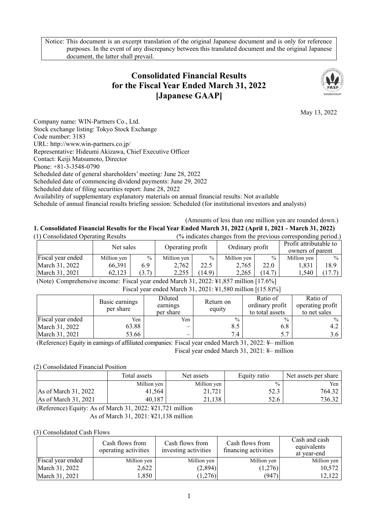Notice: This document is an excerpt translation of the original Japanese document and is only for reference purposes. In the event of any discrepancy between this translated document and the original Japanese document, the latter shall prevail.

# **Consolidated Financial Results for the Fiscal Year Ended March 31, 2022 [Japanese GAAP]**



May 13, 2022

Company name: WIN-Partners Co., Ltd. Stock exchange listing: Tokyo Stock Exchange Code number: 3183 URL: http://www.win-partners.co.jp/ Representative: Hideumi Akizawa, Chief Executive Officer Contact: Keiji Matsumoto, Director Phone: +81-3-3548-0790 Scheduled date of general shareholders' meeting: June 28, 2022 Scheduled date of commencing dividend payments: June 29, 2022 Scheduled date of filing securities report: June 28, 2022 Availability of supplementary explanatory materials on annual financial results: Not available Schedule of annual financial results briefing session: Scheduled (for institutional investors and analysts)

(Amounts of less than one million yen are rounded down.) **1. Consolidated Financial Results for the Fiscal Year Ended March 31, 2022 (April 1, 2021 - March 31, 2022)**   $(0)$  indicates changes from the previous corresponding period.)

| 17 Consondated Operating Results |             |               | $\alpha$ indicates changes from the previous corresponding period. |               |                 |               |                                            |        |
|----------------------------------|-------------|---------------|--------------------------------------------------------------------|---------------|-----------------|---------------|--------------------------------------------|--------|
|                                  | Net sales   |               | Operating profit                                                   |               | Ordinary profit |               | Profit attributable to<br>owners of parent |        |
| Fiscal year ended                | Million yen | $\frac{0}{0}$ | Million yen                                                        | $\frac{0}{0}$ | Million yen     | $\frac{0}{0}$ | Million yen                                | $\%$   |
| March 31, 2022                   | 66,391      | 6.9           | 2.762                                                              | 22.5          | 2.765           | 22.0          | 1.831                                      | 18.9   |
| March 31, 2021                   | 62.123      | (3.7)         | 2.255                                                              | (14.9)        | 2,265           | (14.7)        | .540                                       | (17.7) |

(Note) Comprehensive income: Fiscal year ended March 31, 2022: ¥1,857 million [17.6%]

| Fiscal year ended March 31, 2021: \\$1,580 million [(15.8)%] |
|--------------------------------------------------------------|
|--------------------------------------------------------------|

|                   | Basic earnings<br>per share | Diluted<br>earnings<br>per share | Return on<br>equity | Ratio of<br>ordinary profit<br>to total assets | Ratio of<br>operating profit<br>to net sales |
|-------------------|-----------------------------|----------------------------------|---------------------|------------------------------------------------|----------------------------------------------|
| Fiscal year ended | Yen                         | Yen                              | $\frac{0}{0}$       | $\frac{0}{0}$                                  | $\frac{0}{0}$                                |
| March 31, 2022    | 63.88                       |                                  | 8.5                 | 6.8                                            | 4.2                                          |
| March 31, 2021    | 53.66                       |                                  | 7.4                 | 5.7                                            |                                              |

(Reference) Equity in earnings of affiliated companies: Fiscal year ended March 31, 2022: ¥– million Fiscal year ended March 31, 2021: ¥– million

## (2) Consolidated Financial Position

|                      | Total assets | Net assets  | Equity ratio  | Net assets per share |
|----------------------|--------------|-------------|---------------|----------------------|
|                      | Million yen  | Million yen | $\frac{0}{0}$ | Yen,                 |
| As of March 31, 2022 | 41,564       | 21,721      | 52.3          | 764.32               |
| As of March 31, 2021 | 40,187       | 21,138      | 52.6          | 736.32               |

(Reference) Equity: As of March 31, 2022: ¥21,721 million

As of March 31, 2021: ¥21,138 million

## (3) Consolidated Cash Flows

|                          | Cash flows from<br>operating activities | Cash flows from<br>investing activities | Cash flows from<br>financing activities | Cash and cash<br>equivalents<br>at vear-end |
|--------------------------|-----------------------------------------|-----------------------------------------|-----------------------------------------|---------------------------------------------|
| <b>Fiscal</b> year ended | Million yen                             | Million yen                             | Million yen                             | Million yen                                 |
| March 31, 2022           | 2,622                                   | (2,894)                                 | (1,276)                                 | 10,572                                      |
| March 31, 2021           | .,850                                   | (1,276)                                 | (947)                                   | 12,122                                      |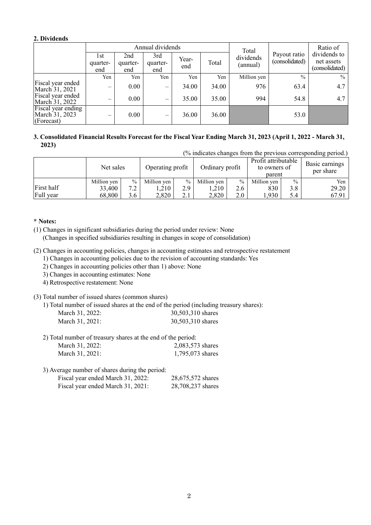## **2. Dividends**

|                                                    | Annual dividends         |                        |                          |              |       | Total                 |                                | Ratio of                                     |  |
|----------------------------------------------------|--------------------------|------------------------|--------------------------|--------------|-------|-----------------------|--------------------------------|----------------------------------------------|--|
|                                                    | 1st<br>quarter-<br>end   | 2nd<br>quarter-<br>end | 3rd<br>quarter-<br>end   | Year-<br>end | Total | dividends<br>(annual) | Payout ratio<br>(consolidated) | dividends to<br>net assets<br>(consolidated) |  |
|                                                    | Yen                      | Yen                    | Yen                      | Yen          | Yen   | Million yen           | $\frac{0}{0}$                  | $\frac{0}{0}$                                |  |
| Fiscal year ended<br>March 31, 2021                | —                        | 0.00                   | $\qquad \qquad$          | 34.00        | 34.00 | 976                   | 63.4                           | 4.7                                          |  |
| Fiscal year ended<br>March 31, 2022                | $\overline{\phantom{0}}$ | 0.00                   | $\overline{\phantom{m}}$ | 35.00        | 35.00 | 994                   | 54.8                           | 4.7                                          |  |
| Fiscal year ending<br>March 31, 2023<br>(Forecast) | —                        | 0.00                   | $\overline{\phantom{0}}$ | 36.00        | 36.00 |                       | 53.0                           |                                              |  |

## **3. Consolidated Financial Results Forecast for the Fiscal Year Ending March 31, 2023 (April 1, 2022 - March 31, 2023)**

(% indicates changes from the previous corresponding period.)

|            | Net sales   |               | Operating profit |               | Ordinary profit |               | Profit attributable<br>to owners of<br>parent |               | Basic earnings<br>per share |
|------------|-------------|---------------|------------------|---------------|-----------------|---------------|-----------------------------------------------|---------------|-----------------------------|
|            | Million yen | $\frac{0}{0}$ | Million yen      | $\frac{0}{0}$ | Million yen     | $\frac{0}{0}$ | Million yen                                   | $\frac{0}{0}$ | Yen                         |
| First half | 33,400      | 7 2           | .,210            | 2.9           | .210            | 2.6           | 830                                           | 3.8           | 29.20                       |
| Full year  | 68,800      | 3.6           | 2,820            | 2.1           | 2,820           | 2.0           | .930                                          | 5.4           | 67.91                       |

## **\* Notes:**

(1) Changes in significant subsidiaries during the period under review: None (Changes in specified subsidiaries resulting in changes in scope of consolidation)

(2) Changes in accounting policies, changes in accounting estimates and retrospective restatement

1) Changes in accounting policies due to the revision of accounting standards: Yes

2) Changes in accounting policies other than 1) above: None

3) Changes in accounting estimates: None

4) Retrospective restatement: None

## (3) Total number of issued shares (common shares)

1) Total number of issued shares at the end of the period (including treasury shares):

| March 31, 2022: | 30,503,310 shares |
|-----------------|-------------------|
| March 31, 2021: | 30,503,310 shares |

2) Total number of treasury shares at the end of the period:

| March 31, 2022: | 2,083,573 shares |
|-----------------|------------------|
| March 31, 2021: | 1,795,073 shares |

3) Average number of shares during the period:

| Fiscal year ended March 31, 2022: | 28,675,572 shares |  |
|-----------------------------------|-------------------|--|
| Fiscal year ended March 31, 2021: | 28,708,237 shares |  |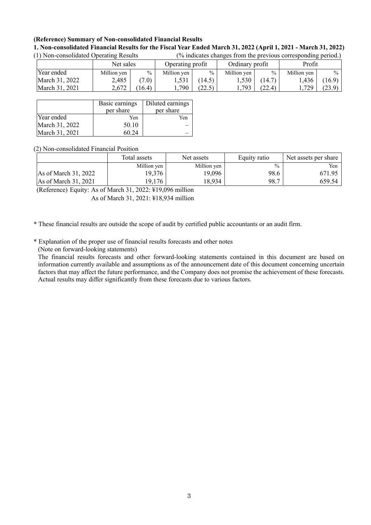## **(Reference) Summary of Non-consolidated Financial Results**

#### **1. Non-consolidated Financial Results for the Fiscal Year Ended March 31, 2022 (April 1, 2021 - March 31, 2022)**  (1) Non-consolidated Operating Results (% indicates changes from the previous corresponding period.)

| (1) INON-CONSONTATION ODCTATING RESURS |             | 70 marcates changes from the previous corresponding perfour |                  |                   |                 |               |             |               |
|----------------------------------------|-------------|-------------------------------------------------------------|------------------|-------------------|-----------------|---------------|-------------|---------------|
|                                        | Net sales   |                                                             | Operating profit |                   | Ordinary profit |               | Profit      |               |
| Year ended                             | Million yen | $\frac{0}{0}$                                               | Million yen      | $\frac{0}{0}$     | Million yen     | $\frac{0}{0}$ | Million yen | $\frac{0}{0}$ |
| March 31, 2022                         | 2,485       | (7.0)                                                       | 1.531            | (14.5)            | 1,530           | (14.7)        | .436        | (16.9)        |
| March 31, 2021                         | 2,672       | (16.4)                                                      | .790             | (ንን  ናነ<br>ل کے گ | 1,793           | (22.4)        | .729        | (23.9)        |

|                | Basic earnings<br>per share | Diluted earnings<br>per share |
|----------------|-----------------------------|-------------------------------|
| Year ended     | Yen                         | Yen                           |
| March 31, 2022 | 50.10                       |                               |
| March 31, 2021 | 60.24                       |                               |

#### (2) Non-consolidated Financial Position

|                                | Total assets | Net assets  | Equity ratio  | Net assets per share |
|--------------------------------|--------------|-------------|---------------|----------------------|
|                                | Million yen  | Million yen | $\frac{0}{0}$ | Yen                  |
| As of March 31, 2022           | 19.376       | 19,096      | 98.6          | 671.95               |
| $\text{As of March } 31, 2021$ | 19,176       | 18,934      | 98.7          | 659.54               |

(Reference) Equity: As of March 31, 2022: ¥19,096 million

As of March 31, 2021: ¥18,934 million

\* These financial results are outside the scope of audit by certified public accountants or an audit firm.

\* Explanation of the proper use of financial results forecasts and other notes

(Note on forward-looking statements)

The financial results forecasts and other forward-looking statements contained in this document are based on information currently available and assumptions as of the announcement date of this document concerning uncertain factors that may affect the future performance, and the Company does not promise the achievement of these forecasts. Actual results may differ significantly from these forecasts due to various factors.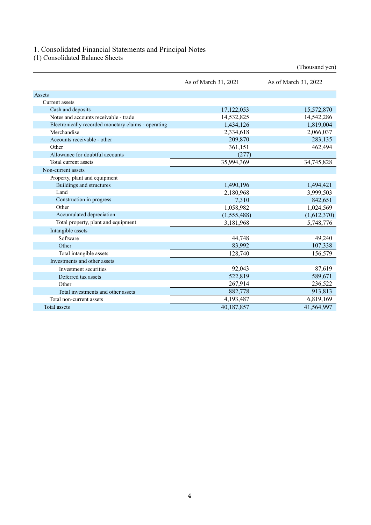### 1. Consolidated Financial Statements and Principal Notes

(1) Consolidated Balance Sheets

|                                                     | As of March 31, 2021 | As of March 31, 2022 |
|-----------------------------------------------------|----------------------|----------------------|
| Assets                                              |                      |                      |
| Current assets                                      |                      |                      |
| Cash and deposits                                   | 17,122,053           | 15,572,870           |
| Notes and accounts receivable - trade               | 14,532,825           | 14,542,286           |
| Electronically recorded monetary claims - operating | 1,434,126            | 1,819,004            |
| Merchandise                                         | 2,334,618            | 2,066,037            |
| Accounts receivable - other                         | 209,870              | 283,135              |
| Other                                               | 361,151              | 462,494              |
| Allowance for doubtful accounts                     | (277)                |                      |
| Total current assets                                | 35,994,369           | 34,745,828           |
| Non-current assets                                  |                      |                      |
| Property, plant and equipment                       |                      |                      |
| Buildings and structures                            | 1,490,196            | 1,494,421            |
| Land                                                | 2,180,968            | 3,999,503            |
| Construction in progress                            | 7,310                | 842,651              |
| Other                                               | 1,058,982            | 1,024,569            |
| Accumulated depreciation                            | (1,555,488)          | (1,612,370)          |
| Total property, plant and equipment                 | 3,181,968            | 5,748,776            |
| Intangible assets                                   |                      |                      |
| Software                                            | 44,748               | 49,240               |
| Other                                               | 83,992               | 107,338              |
| Total intangible assets                             | 128,740              | 156,579              |
| Investments and other assets                        |                      |                      |
| Investment securities                               | 92,043               | 87,619               |
| Deferred tax assets                                 | 522,819              | 589,671              |
| Other                                               | 267,914              | 236,522              |
| Total investments and other assets                  | 882,778              | 913,813              |
| Total non-current assets                            | 4,193,487            | 6,819,169            |
| <b>Total</b> assets                                 | 40,187,857           | 41,564,997           |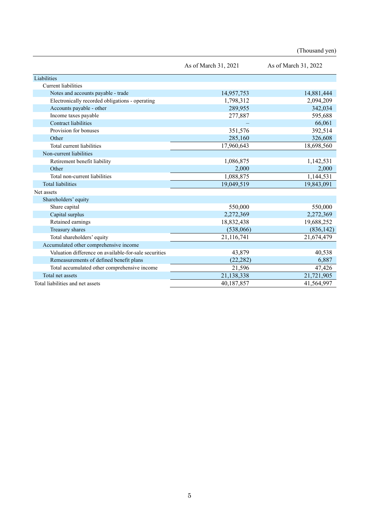|                                                       | As of March 31, 2021 | As of March 31, 2022 |
|-------------------------------------------------------|----------------------|----------------------|
| Liabilities                                           |                      |                      |
| Current liabilities                                   |                      |                      |
| Notes and accounts payable - trade                    | 14,957,753           | 14,881,444           |
| Electronically recorded obligations - operating       | 1,798,312            | 2,094,209            |
| Accounts payable - other                              | 289,955              | 342,034              |
| Income taxes payable                                  | 277,887              | 595,688              |
| Contract liabilities                                  |                      | 66,061               |
| Provision for bonuses                                 | 351,576              | 392,514              |
| Other                                                 | 285,160              | 326,608              |
| Total current liabilities                             | 17,960,643           | 18,698,560           |
| Non-current liabilities                               |                      |                      |
| Retirement benefit liability                          | 1,086,875            | 1,142,531            |
| Other                                                 | 2,000                | 2,000                |
| Total non-current liabilities                         | 1,088,875            | 1,144,531            |
| <b>Total liabilities</b>                              | 19,049,519           | 19,843,091           |
| Net assets                                            |                      |                      |
| Shareholders' equity                                  |                      |                      |
| Share capital                                         | 550,000              | 550,000              |
| Capital surplus                                       | 2,272,369            | 2,272,369            |
| Retained earnings                                     | 18,832,438           | 19,688,252           |
| Treasury shares                                       | (538,066)            | (836, 142)           |
| Total shareholders' equity                            | 21,116,741           | 21,674,479           |
| Accumulated other comprehensive income                |                      |                      |
| Valuation difference on available-for-sale securities | 43,879               | 40,538               |
| Remeasurements of defined benefit plans               | (22, 282)            | 6,887                |
| Total accumulated other comprehensive income          | 21,596               | 47,426               |
| Total net assets                                      | 21,138,338           | 21,721,905           |
| Total liabilities and net assets                      | 40,187,857           | 41,564,997           |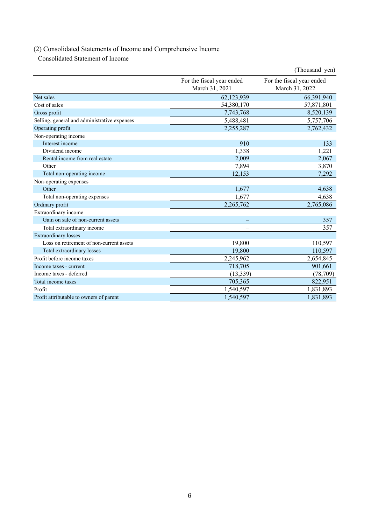# (2) Consolidated Statements of Income and Comprehensive Income

Consolidated Statement of Income

|                                              |                                             | (Thousand yen)                              |
|----------------------------------------------|---------------------------------------------|---------------------------------------------|
|                                              | For the fiscal year ended<br>March 31, 2021 | For the fiscal year ended<br>March 31, 2022 |
| Net sales                                    | 62,123,939                                  | 66,391,940                                  |
| Cost of sales                                | 54,380,170                                  | 57,871,801                                  |
| Gross profit                                 | 7,743,768                                   | 8,520,139                                   |
| Selling, general and administrative expenses | 5,488,481                                   | 5,757,706                                   |
| Operating profit                             | 2,255,287                                   | 2,762,432                                   |
| Non-operating income                         |                                             |                                             |
| Interest income                              | 910                                         | 133                                         |
| Dividend income                              | 1,338                                       | 1,221                                       |
| Rental income from real estate               | 2,009                                       | 2,067                                       |
| Other                                        | 7,894                                       | 3,870                                       |
| Total non-operating income                   | 12,153                                      | 7,292                                       |
| Non-operating expenses                       |                                             |                                             |
| Other                                        | 1,677                                       | 4,638                                       |
| Total non-operating expenses                 | 1,677                                       | 4,638                                       |
| Ordinary profit                              | 2,265,762                                   | 2,765,086                                   |
| Extraordinary income                         |                                             |                                             |
| Gain on sale of non-current assets           |                                             | 357                                         |
| Total extraordinary income                   |                                             | 357                                         |
| <b>Extraordinary</b> losses                  |                                             |                                             |
| Loss on retirement of non-current assets     | 19,800                                      | 110,597                                     |
| Total extraordinary losses                   | 19,800                                      | 110,597                                     |
| Profit before income taxes                   | 2,245,962                                   | 2,654,845                                   |
| Income taxes - current                       | 718,705                                     | 901,661                                     |
| Income taxes - deferred                      | (13, 339)                                   | (78, 709)                                   |
| Total income taxes                           | 705,365                                     | 822,951                                     |
| Profit                                       | 1,540,597                                   | 1,831,893                                   |
| Profit attributable to owners of parent      | 1,540,597                                   | 1,831,893                                   |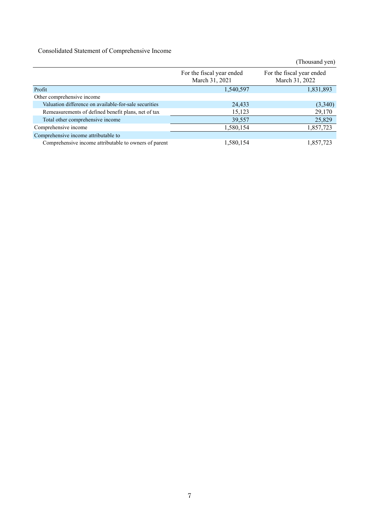Consolidated Statement of Comprehensive Income

|                                                       |                                             | (Thousand yen)                              |
|-------------------------------------------------------|---------------------------------------------|---------------------------------------------|
|                                                       | For the fiscal year ended<br>March 31, 2021 | For the fiscal year ended<br>March 31, 2022 |
| Profit                                                | 1,540,597                                   | 1,831,893                                   |
| Other comprehensive income                            |                                             |                                             |
| Valuation difference on available-for-sale securities | 24,433                                      | (3,340)                                     |
| Remeasurements of defined benefit plans, net of tax   | 15,123                                      | 29,170                                      |
| Total other comprehensive income                      | 39,557                                      | 25,829                                      |
| Comprehensive income                                  | 1,580,154                                   | 1,857,723                                   |
| Comprehensive income attributable to                  |                                             |                                             |
| Comprehensive income attributable to owners of parent | 1,580,154                                   | 1.857.723                                   |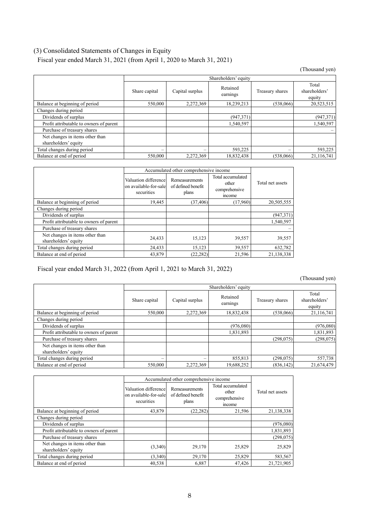## (3) Consolidated Statements of Changes in Equity

Fiscal year ended March 31, 2021 (from April 1, 2020 to March 31, 2021)

(Thousand yen)

|                                                         | Shareholders' equity |                 |                      |                 |                                  |
|---------------------------------------------------------|----------------------|-----------------|----------------------|-----------------|----------------------------------|
|                                                         | Share capital        | Capital surplus | Retained<br>earnings | Treasury shares | Total<br>shareholders'<br>equity |
| Balance at beginning of period                          | 550,000              | 2,272,369       | 18,239,213           | (538,066)       | 20,523,515                       |
| Changes during period                                   |                      |                 |                      |                 |                                  |
| Dividends of surplus                                    |                      |                 | (947,371)            |                 | (947, 371)                       |
| Profit attributable to owners of parent                 |                      |                 | 1,540,597            |                 | 1,540,597                        |
| Purchase of treasury shares                             |                      |                 |                      |                 |                                  |
| Net changes in items other than<br>shareholders' equity |                      |                 |                      |                 |                                  |
| Total changes during period                             |                      |                 | 593,225              |                 | 593,225                          |
| Balance at end of period                                | 550,000              | 2,272,369       | 18,832,438           | (538.066)       | 21,116,741                       |

|                                                         |                                                              | Accumulated other comprehensive income        |                                                      |                  |  |
|---------------------------------------------------------|--------------------------------------------------------------|-----------------------------------------------|------------------------------------------------------|------------------|--|
|                                                         | Valuation differencel<br>on available-for-sale<br>securities | Remeasurements<br>of defined benefit<br>plans | Total accumulated<br>other<br>comprehensive<br>mcome | Total net assets |  |
| Balance at beginning of period                          | 19,445                                                       | (37, 406)                                     | (17,960)                                             | 20,505,555       |  |
| Changes during period                                   |                                                              |                                               |                                                      |                  |  |
| Dividends of surplus                                    |                                                              |                                               |                                                      | (947, 371)       |  |
| Profit attributable to owners of parent                 |                                                              |                                               |                                                      | 1.540.597        |  |
| Purchase of treasury shares                             |                                                              |                                               |                                                      |                  |  |
| Net changes in items other than<br>shareholders' equity | 24,433                                                       | 15,123                                        | 39,557                                               | 39,557           |  |
| Total changes during period                             | 24,433                                                       | 15,123                                        | 39,557                                               | 632,782          |  |
| Balance at end of period                                | 43,879                                                       | (22, 282)                                     | 21,596                                               | 21,138,338       |  |

Fiscal year ended March 31, 2022 (from April 1, 2021 to March 31, 2022)

|                                                         | Shareholders' equity |                 |                      |                 |                                  |
|---------------------------------------------------------|----------------------|-----------------|----------------------|-----------------|----------------------------------|
|                                                         | Share capital        | Capital surplus | Retained<br>earnings | Treasury shares | Total<br>shareholders'<br>equity |
| Balance at beginning of period                          | 550,000              | 2,272,369       | 18,832,438           | (538,066)       | 21,116,741                       |
| Changes during period                                   |                      |                 |                      |                 |                                  |
| Dividends of surplus                                    |                      |                 | (976,080)            |                 | (976,080)                        |
| Profit attributable to owners of parent                 |                      |                 | 1,831,893            |                 | 1,831,893                        |
| Purchase of treasury shares                             |                      |                 |                      | (298,075)       | (298, 075)                       |
| Net changes in items other than<br>shareholders' equity |                      |                 |                      |                 |                                  |
| Total changes during period                             |                      |                 | 855,813              | (298,075)       | 557,738                          |
| Balance at end of period                                | 550,000              | 2.272.369       | 19.688.252           | (836, 142)      | 21,674,479                       |

|                                                         | Accumulated other comprehensive income                      |                                               |                                                       |                  |
|---------------------------------------------------------|-------------------------------------------------------------|-----------------------------------------------|-------------------------------------------------------|------------------|
|                                                         | Valuation difference<br>on available-for-sale<br>securities | Remeasurements<br>of defined benefit<br>plans | Total accumulated<br>other<br>comprehensive<br>income | Total net assets |
| Balance at beginning of period                          | 43,879                                                      | (22, 282)                                     | 21,596                                                | 21,138,338       |
| Changes during period                                   |                                                             |                                               |                                                       |                  |
| Dividends of surplus                                    |                                                             |                                               |                                                       | (976,080)        |
| Profit attributable to owners of parent                 |                                                             |                                               |                                                       | 1,831,893        |
| Purchase of treasury shares                             |                                                             |                                               |                                                       | (298, 075)       |
| Net changes in items other than<br>shareholders' equity | (3,340)                                                     | 29,170                                        | 25,829                                                | 25,829           |
| Total changes during period                             | (3,340)                                                     | 29,170                                        | 25,829                                                | 583,567          |
| Balance at end of period                                | 40,538                                                      | 6,887                                         | 47,426                                                | 21,721,905       |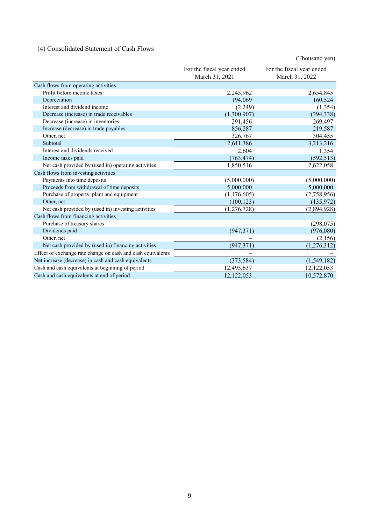## (4) Consolidated Statement of Cash Flows

|                                                             |                                             | (Thousand yen)                              |
|-------------------------------------------------------------|---------------------------------------------|---------------------------------------------|
|                                                             | For the fiscal year ended<br>March 31, 2021 | For the fiscal year ended<br>March 31, 2022 |
| Cash flows from operating activities                        |                                             |                                             |
| Profit before income taxes                                  | 2,245,962                                   | 2,654,845                                   |
| Depreciation                                                | 194,069                                     | 160,524                                     |
| Interest and dividend income                                | (2,249)                                     | (1, 354)                                    |
| Decrease (increase) in trade receivables                    | (1,300,907)                                 | (394, 338)                                  |
| Decrease (increase) in inventories                          | 291,456                                     | 269,497                                     |
| Increase (decrease) in trade payables                       | 856,287                                     | 219,587                                     |
| Other, net                                                  | 326,767                                     | 304,455                                     |
| Subtotal                                                    | 2,611,386                                   | 3,213,216                                   |
| Interest and dividends received                             | 2,604                                       | 1,354                                       |
| Income taxes paid                                           | (763, 474)                                  | (592, 513)                                  |
| Net cash provided by (used in) operating activities         | 1,850,516                                   | 2,622,058                                   |
| Cash flows from investing activities                        |                                             |                                             |
| Payments into time deposits                                 | (5,000,000)                                 | (5,000,000)                                 |
| Proceeds from withdrawal of time deposits                   | 5,000,000                                   | 5,000,000                                   |
| Purchase of property, plant and equipment                   | (1,176,605)                                 | (2,758,956)                                 |
| Other, net                                                  | (100, 123)                                  | (135,972)                                   |
| Net cash provided by (used in) investing activities         | (1,276,728)                                 | (2,894,928)                                 |
| Cash flows from financing activities                        |                                             |                                             |
| Purchase of treasury shares                                 |                                             | (298, 075)                                  |
| Dividends paid                                              | (947, 371)                                  | (976,080)                                   |
| Other, net                                                  |                                             | (2,156)                                     |
| Net cash provided by (used in) financing activities         | (947, 371)                                  | (1,276,312)                                 |
| Effect of exchange rate change on cash and cash equivalents |                                             |                                             |
| Net increase (decrease) in cash and cash equivalents        | (373, 584)                                  | (1,549,182)                                 |
| Cash and cash equivalents at beginning of period            | 12,495,637                                  | 12,122,053                                  |
| Cash and cash equivalents at end of period                  | 12,122,053                                  | 10,572,870                                  |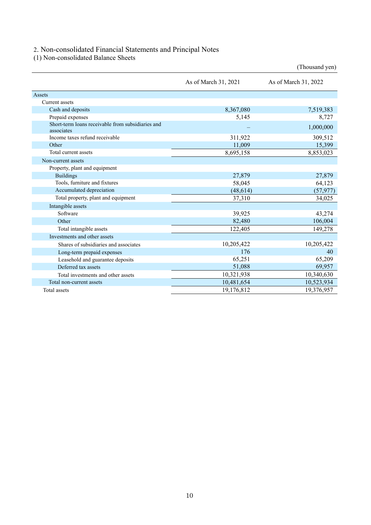## 2. Non-consolidated Financial Statements and Principal Notes

(1) Non-consolidated Balance Sheets

|                                                                 |                      | (Thousand yen)       |
|-----------------------------------------------------------------|----------------------|----------------------|
|                                                                 | As of March 31, 2021 | As of March 31, 2022 |
| Assets                                                          |                      |                      |
| Current assets                                                  |                      |                      |
| Cash and deposits                                               | 8,367,080            | 7,519,383            |
| Prepaid expenses                                                | 5,145                | 8,727                |
| Short-term loans receivable from subsidiaries and<br>associates |                      | 1,000,000            |
| Income taxes refund receivable                                  | 311,922              | 309,512              |
| Other                                                           | 11,009               | 15,399               |
| Total current assets                                            | 8,695,158            | 8,853,023            |
| Non-current assets                                              |                      |                      |
| Property, plant and equipment                                   |                      |                      |
| <b>Buildings</b>                                                | 27,879               | 27,879               |
| Tools, furniture and fixtures                                   | 58,045               | 64,123               |
| Accumulated depreciation                                        | (48, 614)            | (57, 977)            |
| Total property, plant and equipment                             | 37,310               | 34,025               |
| Intangible assets                                               |                      |                      |
| Software                                                        | 39,925               | 43,274               |
| Other                                                           | 82,480               | 106,004              |
| Total intangible assets                                         | 122,405              | 149,278              |
| Investments and other assets                                    |                      |                      |
| Shares of subsidiaries and associates                           | 10,205,422           | 10,205,422           |
| Long-term prepaid expenses                                      | 176                  | 40                   |
| Leasehold and guarantee deposits                                | 65,251               | 65,209               |
| Deferred tax assets                                             | 51,088               | 69,957               |
| Total investments and other assets                              | 10,321,938           | 10,340,630           |
| Total non-current assets                                        | 10,481,654           | 10,523,934           |
| Total assets                                                    | 19,176,812           | 19,376,957           |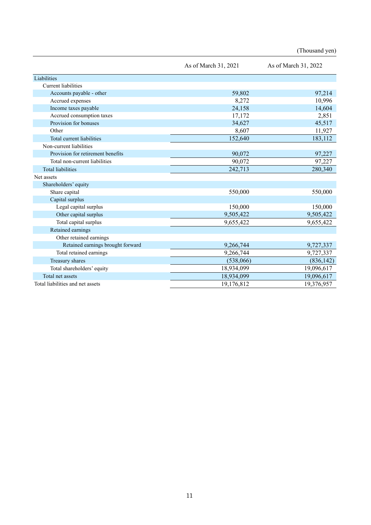|                                   | As of March 31, 2021 | As of March 31, 2022 |
|-----------------------------------|----------------------|----------------------|
| Liabilities                       |                      |                      |
| <b>Current liabilities</b>        |                      |                      |
| Accounts payable - other          | 59,802               | 97,214               |
| Accrued expenses                  | 8,272                | 10,996               |
| Income taxes payable              | 24,158               | 14,604               |
| Accrued consumption taxes         | 17,172               | 2,851                |
| Provision for bonuses             | 34,627               | 45,517               |
| Other                             | 8,607                | 11,927               |
| Total current liabilities         | 152,640              | 183,112              |
| Non-current liabilities           |                      |                      |
| Provision for retirement benefits | 90,072               | 97,227               |
| Total non-current liabilities     | 90,072               | 97,227               |
| <b>Total liabilities</b>          | 242,713              | 280,340              |
| Net assets                        |                      |                      |
| Shareholders' equity              |                      |                      |
| Share capital                     | 550,000              | 550,000              |
| Capital surplus                   |                      |                      |
| Legal capital surplus             | 150,000              | 150,000              |
| Other capital surplus             | 9,505,422            | 9,505,422            |
| Total capital surplus             | 9,655,422            | 9,655,422            |
| Retained earnings                 |                      |                      |
| Other retained earnings           |                      |                      |
| Retained earnings brought forward | 9,266,744            | 9,727,337            |
| Total retained earnings           | 9,266,744            | 9,727,337            |
| Treasury shares                   | (538,066)            | (836, 142)           |
| Total shareholders' equity        | 18,934,099           | 19,096,617           |
| Total net assets                  | 18,934,099           | 19,096,617           |
| Total liabilities and net assets  | 19,176,812           | 19,376,957           |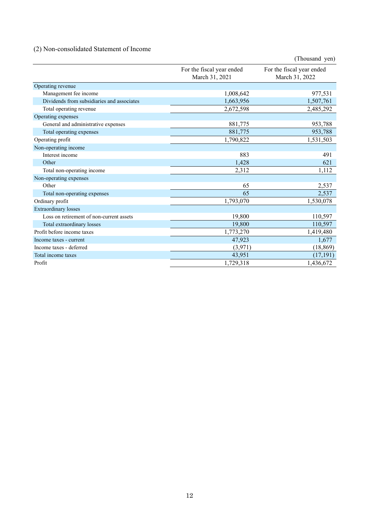## (2) Non-consolidated Statement of Income

|                                            |                                             | (Thousand yen)                              |
|--------------------------------------------|---------------------------------------------|---------------------------------------------|
|                                            | For the fiscal year ended<br>March 31, 2021 | For the fiscal year ended<br>March 31, 2022 |
| Operating revenue                          |                                             |                                             |
| Management fee income                      | 1,008,642                                   | 977,531                                     |
| Dividends from subsidiaries and associates | 1,663,956                                   | 1,507,761                                   |
| Total operating revenue                    | 2,672,598                                   | 2,485,292                                   |
| Operating expenses                         |                                             |                                             |
| General and administrative expenses        | 881,775                                     | 953,788                                     |
| Total operating expenses                   | 881,775                                     | 953,788                                     |
| Operating profit                           | 1,790,822                                   | 1,531,503                                   |
| Non-operating income                       |                                             |                                             |
| Interest income                            | 883                                         | 491                                         |
| Other                                      | 1,428                                       | 621                                         |
| Total non-operating income                 | 2,312                                       | 1,112                                       |
| Non-operating expenses                     |                                             |                                             |
| Other                                      | 65                                          | 2,537                                       |
| Total non-operating expenses               | 65                                          | 2,537                                       |
| Ordinary profit                            | 1,793,070                                   | 1,530,078                                   |
| <b>Extraordinary losses</b>                |                                             |                                             |
| Loss on retirement of non-current assets   | 19,800                                      | 110,597                                     |
| Total extraordinary losses                 | 19,800                                      | 110,597                                     |
| Profit before income taxes                 | 1,773,270                                   | 1,419,480                                   |
| Income taxes - current                     | 47,923                                      | 1,677                                       |
| Income taxes - deferred                    | (3,971)                                     | (18, 869)                                   |
| Total income taxes                         | 43,951                                      | (17, 191)                                   |
| Profit                                     | 1,729,318                                   | 1,436,672                                   |